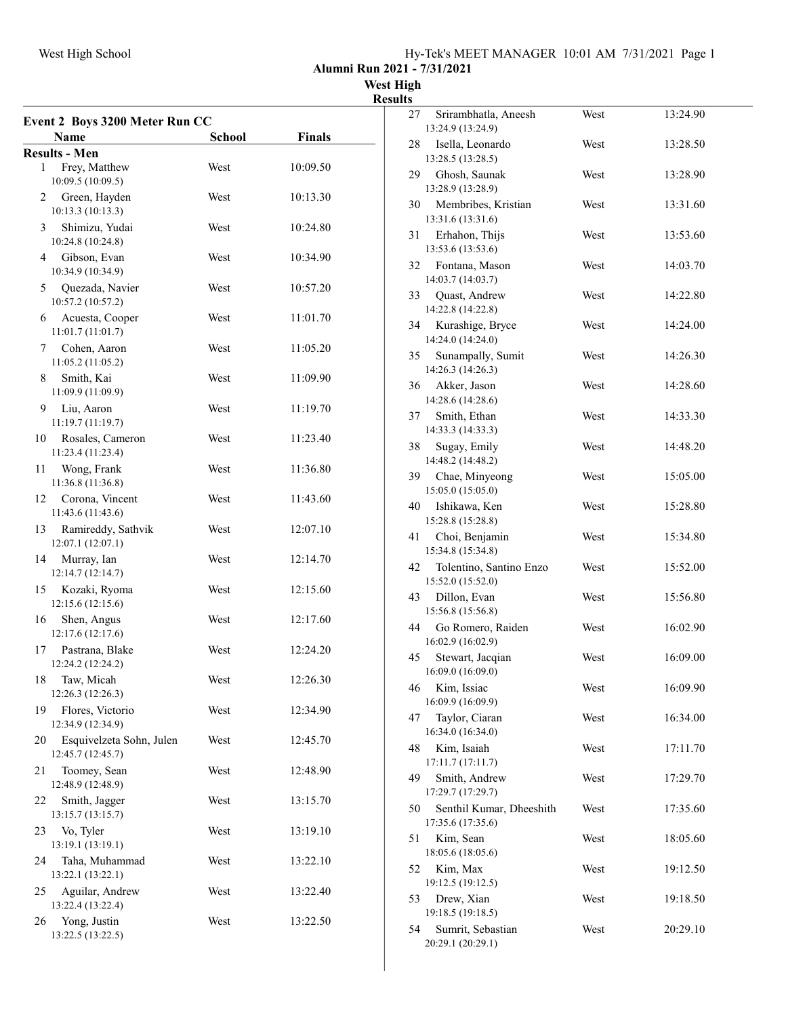|  |  |  | Hy-Tek's MEET MANAGER 10:01 AM 7/31/2021 Page 1 |  |  |  |  |
|--|--|--|-------------------------------------------------|--|--|--|--|
|--|--|--|-------------------------------------------------|--|--|--|--|

Alumni Run 2021 - 7/31/2021

West High **Results** 

|    | Event 2 Boys 3200 Meter Run CC                |               |               |
|----|-----------------------------------------------|---------------|---------------|
|    | Name                                          | <b>School</b> | <b>Finals</b> |
|    | <b>Results - Men</b>                          |               |               |
| 1  | Frey, Matthew<br>10:09.5 (10:09.5)            | West          | 10:09.50      |
| 2  | Green, Hayden<br>10:13.3 (10:13.3)            | West          | 10:13.30      |
| 3  | Shimizu, Yudai<br>10:24.8 (10:24.8)           | West          | 10:24.80      |
| 4  | Gibson, Evan<br>10:34.9 (10:34.9)             | West          | 10:34.90      |
| 5  | Quezada, Navier<br>10:57.2 (10:57.2)          | West          | 10:57.20      |
| 6  | Acuesta, Cooper<br>11:01.7(11:01.7)           | West          | 11:01.70      |
| 7  | Cohen, Aaron<br>11:05.2 (11:05.2)             | West          | 11:05.20      |
| 8  | Smith, Kai<br>11:09.9 (11:09.9)               | West          | 11:09.90      |
| 9  | Liu, Aaron<br>11:19.7 (11:19.7)               | West          | 11:19.70      |
| 10 | Rosales, Cameron<br>11:23.4 (11:23.4)         | West          | 11:23.40      |
| 11 | Wong, Frank<br>11:36.8 (11:36.8)              | West          | 11:36.80      |
| 12 | Corona, Vincent<br>11:43.6 (11:43.6)          | West          | 11:43.60      |
| 13 | Ramireddy, Sathvik<br>12:07.1 (12:07.1)       | West          | 12:07.10      |
| 14 | Murray, Ian<br>12:14.7 (12:14.7)              | West          | 12:14.70      |
| 15 | Kozaki, Ryoma<br>12:15.6 (12:15.6)            | West          | 12:15.60      |
| 16 | Shen, Angus<br>12:17.6 (12:17.6)              | West          | 12:17.60      |
| 17 | Pastrana, Blake<br>12:24.2 (12:24.2)          | West          | 12:24.20      |
|    | 18 Taw, Micah<br>12:26.3 (12:26.3)            | West          | 12:26.30      |
| 19 | Flores, Victorio<br>12:34.9 (12:34.9)         | West          | 12:34.90      |
| 20 | Esquivelzeta Sohn, Julen<br>12:45.7 (12:45.7) | West          | 12:45.70      |
| 21 | Toomey, Sean<br>12:48.9 (12:48.9)             | West          | 12:48.90      |
| 22 | Smith, Jagger<br>13:15.7 (13:15.7)            | West          | 13:15.70      |
| 23 | Vo, Tyler<br>13:19.1 (13:19.1)                | West          | 13:19.10      |
| 24 | Taha, Muhammad<br>13:22.1 (13:22.1)           | West          | 13:22.10      |
| 25 | Aguilar, Andrew<br>13:22.4 (13:22.4)          | West          | 13:22.40      |
| 26 | Yong, Justin<br>13:22.5 (13:22.5)             | West          | 13:22.50      |

| Srirambhatla, Aneesh<br>27                          | West | 13:24.90 |
|-----------------------------------------------------|------|----------|
| 13:24.9 (13:24.9)                                   |      |          |
| Isella, Leonardo<br>28<br>13:28.5 (13:28.5)         | West | 13:28.50 |
| Ghosh, Saunak<br>29                                 | West | 13:28.90 |
| 13:28.9 (13:28.9)                                   |      |          |
| Membribes, Kristian<br>30                           | West | 13:31.60 |
| 13:31.6 (13:31.6)                                   |      |          |
| 31<br>Erhahon, Thijs                                | West | 13:53.60 |
| 13:53.6 (13:53.6)                                   |      |          |
| 32<br>Fontana, Mason<br>14:03.7 (14:03.7)           | West | 14:03.70 |
| 33<br>Quast, Andrew                                 | West | 14:22.80 |
| 14:22.8 (14:22.8)                                   |      |          |
| 34<br>Kurashige, Bryce                              | West | 14:24.00 |
| 14:24.0 (14:24.0)                                   |      |          |
| 35<br>Sunampally, Sumit                             | West | 14:26.30 |
| 14:26.3 (14:26.3)                                   |      |          |
| 36<br>Akker, Jason<br>14:28.6 (14:28.6)             | West | 14:28.60 |
| Smith, Ethan<br>37                                  | West | 14:33.30 |
| 14:33.3 (14:33.3)                                   |      |          |
| 38<br>Sugay, Emily                                  | West | 14:48.20 |
| 14:48.2 (14:48.2)                                   |      |          |
| 39<br>Chae, Minyeong                                | West | 15:05.00 |
| 15:05.0 (15:05.0)<br>40<br>Ishikawa, Ken            | West | 15:28.80 |
| 15:28.8 (15:28.8)                                   |      |          |
| 41<br>Choi, Benjamin                                | West | 15:34.80 |
| 15:34.8 (15:34.8)                                   |      |          |
| 42<br>Tolentino, Santino Enzo                       | West | 15:52.00 |
| 15:52.0 (15:52.0)                                   |      |          |
| Dillon, Evan<br>43<br>15:56.8 (15:56.8)             | West | 15:56.80 |
| 44<br>Go Romero, Raiden                             | West | 16:02.90 |
| 16:02.9 (16:02.9)                                   |      |          |
| 45<br>Stewart, Jacqian                              | West | 16:09.00 |
| 16:09.0 (16:09.0)                                   |      |          |
| Kim, Issiac<br>46                                   | West | 16:09.90 |
| 16:09.9 (16:09.9)<br>Taylor, Ciaran<br>47           | West | 16:34.00 |
| 16:34.0 (16:34.0)                                   |      |          |
| 48<br>Kim, Isaiah                                   | West | 17:11.70 |
| 17:11.7 (17:11.7)                                   |      |          |
| 49<br>Smith, Andrew                                 | West | 17:29.70 |
| 17:29.7 (17:29.7)                                   |      |          |
| 50<br>Senthil Kumar, Dheeshith<br>17:35.6 (17:35.6) | West | 17:35.60 |
| 51<br>Kim, Sean                                     | West | 18:05.60 |
| 18:05.6 (18:05.6)                                   |      |          |
| 52<br>Kim, Max                                      | West | 19:12.50 |
| 19:12.5 (19:12.5)                                   |      |          |
| 53<br>Drew, Xian                                    | West | 19:18.50 |
| 19:18.5 (19:18.5)<br>54<br>Sumrit, Sebastian        | West | 20:29.10 |
| 20:29.1 (20:29.1)                                   |      |          |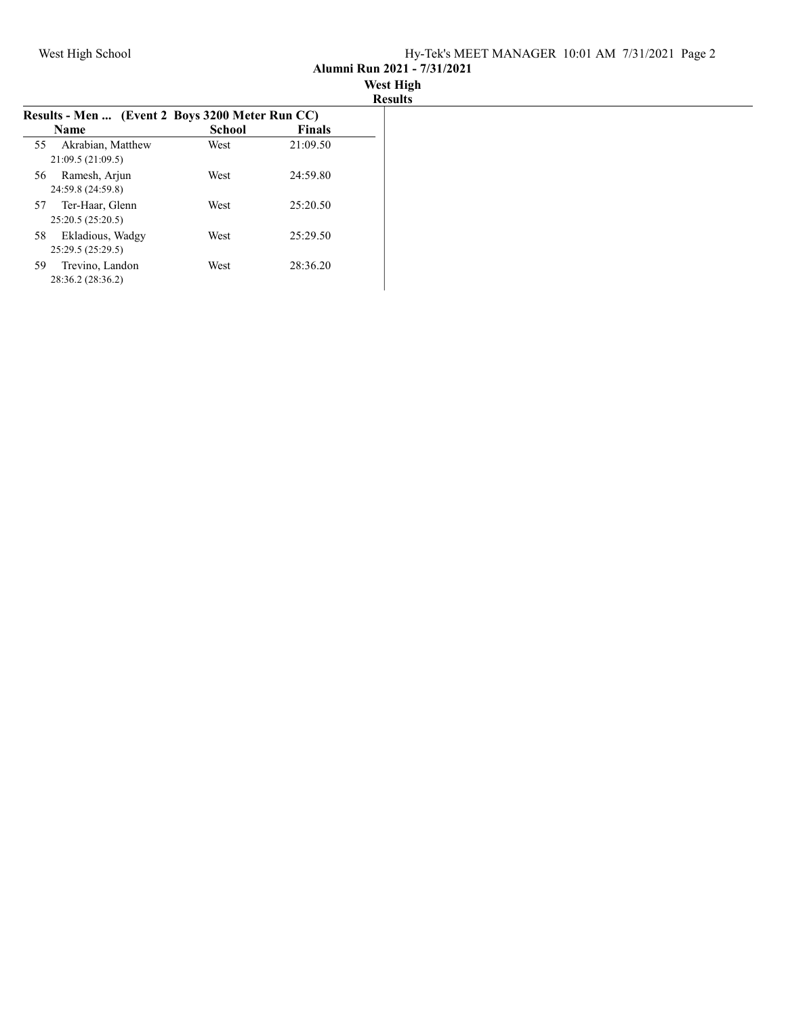Alumni Run 2021 - 7/31/2021

| <b>West High</b> |  |  |
|------------------|--|--|
| <b>Results</b>   |  |  |

| Results - Men  (Event 2 Boys 3200 Meter Run CC) |        |               |  |
|-------------------------------------------------|--------|---------------|--|
| <b>Name</b>                                     | School | <b>Finals</b> |  |
| Akrabian, Matthew<br>55<br>21:09.5(21:09.5)     | West   | 21:09.50      |  |
| Ramesh, Arjun<br>56<br>24:59.8 (24:59.8)        | West   | 24:59.80      |  |
| Ter-Haar, Glenn<br>57<br>25:20.5(25:20.5)       | West   | 25:20.50      |  |
| Ekladious, Wadgy<br>58<br>25:29.5 (25:29.5)     | West   | 25:29.50      |  |
| Trevino, Landon<br>59<br>28:36.2 (28:36.2)      | West   | 28:36.20      |  |